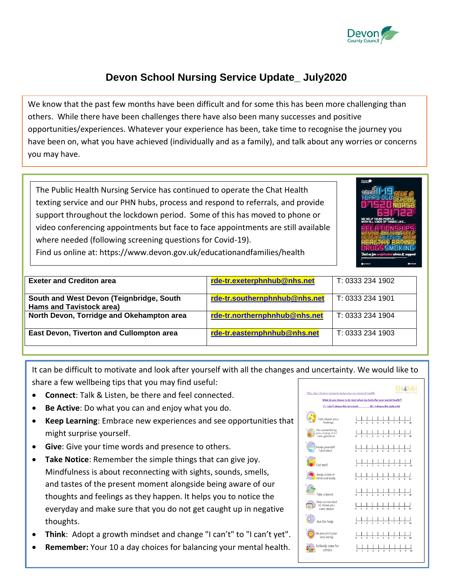

## **Devon School Nursing Service Update\_ July2020**

We know that the past few months have been difficult and for some this has been more challenging than others. While there have been challenges there have also been many successes and positive opportunities/experiences. Whatever your experience has been, take time to recognise the journey you have been on, what you have achieved (individually and as a family), and talk about any worries or concerns you may have.

The Public Health Nursing Service has continued to operate the Chat Health texting service and our PHN hubs, process and respond to referrals, and provide support throughout the lockdown period. Some of this has moved to phone or video conferencing appointments but face to face appointments are still available where needed (following screening questions for Covid-19).



Find us online at: https://www.devon.gov.uk/educationandfamilies/health

| <b>Exeter and Crediton area</b>                                             | rde-tr.exeterphnhub@nhs.net   | T: 0333 234 1902 |
|-----------------------------------------------------------------------------|-------------------------------|------------------|
| South and West Devon (Teignbridge, South<br><b>Hams and Tavistock area)</b> | rde-tr.southernphnhub@nhs.net | T: 0333 234 1901 |
| North Devon, Torridge and Okehampton area                                   | rde-tr.northernphnhub@nhs.net | T: 0333 234 1904 |
| East Devon, Tiverton and Cullompton area                                    | rde-tr.easternphnhub@nhs.net  | T: 0333 234 1903 |

It can be difficult to motivate and look after yourself with all the changes and uncertainty. We would like to share a few wellbeing tips that you may find useful:

- **Connect**: Talk & Listen, be there and feel connected.
- **Be Active**: Do what you can and enjoy what you do.
- **Keep Learning**: Embrace new experiences and see opportunities that might surprise yourself.
- **Give**: Give your time words and presence to others.
- **Take Notice**: Remember the simple things that can give joy. Mindfulness is about reconnecting with sights, sounds, smells, and tastes of the present moment alongside being aware of our thoughts and feelings as they happen. It helps you to notice the everyday and make sure that you do not get caught up in negative thoughts.
- **Think**: Adopt a growth mindset and change "I can't" to "I can't yet".
- **Remember:** Your 10 a day choices for balancing your mental health.

| '10 a day' choices towards balancing our mental health                |   |  |                |                         |                |                          |    | EARLY HELP A MENTAL HEA |   |   |    |
|-----------------------------------------------------------------------|---|--|----------------|-------------------------|----------------|--------------------------|----|-------------------------|---|---|----|
| What do you choose to do most when you look after your mental health? |   |  |                |                         |                |                          |    |                         |   |   |    |
| $0 = 1$ don't choose this very much $10 = 1$ choose this quite a lot  |   |  |                |                         |                |                          |    |                         |   |   |    |
| Talk about your<br>feelings                                           |   |  | 9              | $\overline{a}$          |                | s.                       | r. | ŋ                       |   |   | 10 |
| Do something<br>you enjoy and<br>are good at                          | ö |  | $\overline{2}$ | $\overline{a}$          |                | s.                       | ĥ. | ŋ                       |   | Ġ | 10 |
| 3<br>Keep yourself<br>hydrated                                        |   |  | ö              | $\overline{a}$          | 7              | $\overline{\phantom{a}}$ | k. | $\overline{z}$          |   |   | 10 |
| llew tn                                                               |   |  | 9              | $\overline{a}$          | $\overline{4}$ | $\overline{\phantom{a}}$ | Ä  | 7                       | g |   | 10 |
| Keep active in<br>mind and body                                       |   |  | 4              | $\overline{a}$          | $\overline{A}$ | k                        | Ä  | $\overline{2}$          |   |   | 10 |
| Take a break                                                          |   |  | $\overline{2}$ | $\overline{a}$          |                | ß                        | é  | 7                       |   |   | 10 |
| Stay connected<br>to those you<br>care about                          |   |  | $\overline{2}$ | $\overline{a}$          | $\overline{A}$ | $\overline{\phantom{a}}$ | à  | $\overline{2}$          |   |   | 10 |
| Ask for help                                                          |   |  | $\overline{2}$ | $\overline{\mathbf{a}}$ | $\overline{4}$ | k                        | k  | 7                       | Ř |   | 10 |
| Be proud of your<br>very being                                        | ö |  | $\overline{2}$ | $\overline{\mathbf{a}}$ | $\overline{a}$ | s.                       | é, | 7                       | Ŕ | Ġ | 10 |
| <b>Actively care for</b><br>others                                    |   |  | 9              | $\overline{3}$          | Â              | ß.                       | Ŕ  | 7                       |   |   | 10 |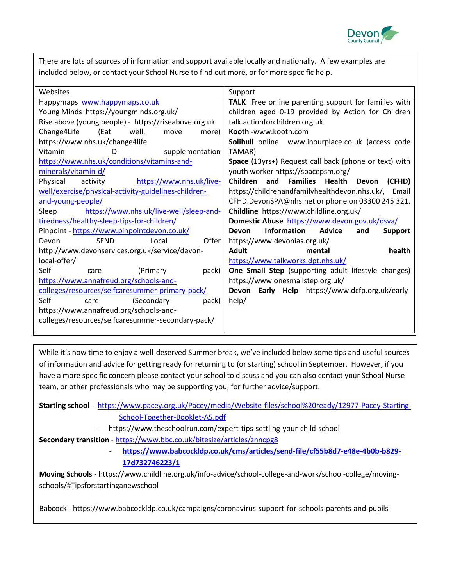

There are lots of sources of information and support available locally and nationally. A few examples are included below, or contact your School Nurse to find out more, or for more specific help.

| Websites                                             | Support                                                        |  |  |  |  |  |  |
|------------------------------------------------------|----------------------------------------------------------------|--|--|--|--|--|--|
| Happymaps www.happymaps.co.uk                        | TALK Free online parenting support for families with           |  |  |  |  |  |  |
| Young Minds https://youngminds.org.uk/               | children aged 0-19 provided by Action for Children             |  |  |  |  |  |  |
| Rise above (young people) - https://riseabove.org.uk | talk.actionforchildren.org.uk                                  |  |  |  |  |  |  |
| (Eat<br>Change4Life<br>well,<br>more)<br>move        | Kooth -www.kooth.com                                           |  |  |  |  |  |  |
| https://www.nhs.uk/change4life                       | Solihull online www.inourplace.co.uk (access code              |  |  |  |  |  |  |
| Vitamin<br>D<br>supplementation                      | TAMAR)                                                         |  |  |  |  |  |  |
| https://www.nhs.uk/conditions/vitamins-and-          | Space (13yrs+) Request call back (phone or text) with          |  |  |  |  |  |  |
| minerals/vitamin-d/                                  | youth worker https://spacepsm.org/                             |  |  |  |  |  |  |
| Physical<br>activity<br>https://www.nhs.uk/live-     | Children and<br><b>Families</b> Health<br>Devon<br>(CFHD)      |  |  |  |  |  |  |
| well/exercise/physical-activity-guidelines-children- | https://childrenandfamilyhealthdevon.nhs.uk/, Email            |  |  |  |  |  |  |
| and-young-people/                                    | CFHD.DevonSPA@nhs.net or phone on 03300 245 321.               |  |  |  |  |  |  |
| https://www.nhs.uk/live-well/sleep-and-<br>Sleep     | Childline https://www.childline.org.uk/                        |  |  |  |  |  |  |
| tiredness/healthy-sleep-tips-for-children/           | Domestic Abuse https://www.devon.gov.uk/dsva/                  |  |  |  |  |  |  |
| Pinpoint - https://www.pinpointdevon.co.uk/          | <b>Information</b><br>Advice<br>Devon<br>and<br><b>Support</b> |  |  |  |  |  |  |
| Offer<br><b>SEND</b><br>Devon<br>Local               | https://www.devonias.org.uk/                                   |  |  |  |  |  |  |
| http://www.devonservices.org.uk/service/devon-       | <b>Adult</b><br>health<br>mental                               |  |  |  |  |  |  |
| local-offer/                                         | https://www.talkworks.dpt.nhs.uk/                              |  |  |  |  |  |  |
| Self<br>(Primary)<br>pack)<br>care                   | One Small Step (supporting adult lifestyle changes)            |  |  |  |  |  |  |
| https://www.annafreud.org/schools-and-               | https://www.onesmallstep.org.uk/                               |  |  |  |  |  |  |
| colleges/resources/selfcaresummer-primary-pack/      | Devon Early Help https://www.dcfp.org.uk/early-                |  |  |  |  |  |  |
| Self<br>(Secondary<br>pack)<br>care                  | help/                                                          |  |  |  |  |  |  |
| https://www.annafreud.org/schools-and-               |                                                                |  |  |  |  |  |  |
| colleges/resources/selfcaresummer-secondary-pack/    |                                                                |  |  |  |  |  |  |
|                                                      |                                                                |  |  |  |  |  |  |

While it's now time to enjoy a well-deserved Summer break, we've included below some tips and useful sources of information and advice for getting ready for returning to (or starting) school in September. However, if you have a more specific concern please contact your school to discuss and you can also contact your School Nurse team, or other professionals who may be supporting you, for further advice/support.

**Starting school** - [https://www.pacey.org.uk/Pacey/media/Website-files/school%20ready/12977-Pacey-Starting-](https://www.pacey.org.uk/Pacey/media/Website-files/school%20ready/12977-Pacey-Starting-School-Together-Booklet-A5.pdf)[School-Together-Booklet-A5.pdf](https://www.pacey.org.uk/Pacey/media/Website-files/school%20ready/12977-Pacey-Starting-School-Together-Booklet-A5.pdf)

- https://www.theschoolrun.com/expert-tips-settling-your-child-school

**Secondary transition** - <https://www.bbc.co.uk/bitesize/articles/znncpg8>

- **[https://www.babcockldp.co.uk/cms/articles/send-file/cf55b8d7-e48e-4b0b-b829-](https://www.babcockldp.co.uk/cms/articles/send-file/cf55b8d7-e48e-4b0b-b829-17d732746223/1) [17d732746223/1](https://www.babcockldp.co.uk/cms/articles/send-file/cf55b8d7-e48e-4b0b-b829-17d732746223/1)**

**Moving Schools** - https://www.childline.org.uk/info-advice/school-college-and-work/school-college/movingschools/#Tipsforstartinganewschool

Babcock - https://www.babcockldp.co.uk/campaigns/coronavirus-support-for-schools-parents-and-pupils